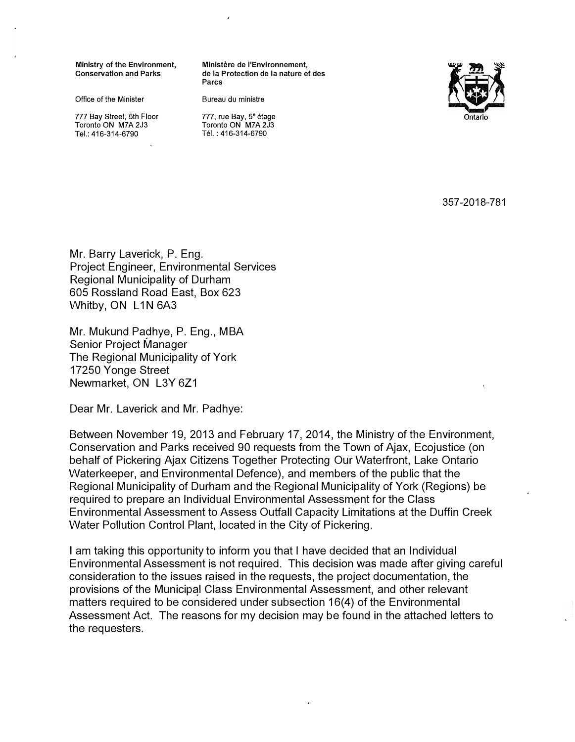Office of the Minister **Bureau du ministre** 

777 Bay Street, 5th Floor 777, rue Bay, 5<sup>e</sup> étage<br>Toronto ON M7A 2J3 7 Toronto ON M7A 2J3 Toronto ON M7A 2J3 Toronto ON M7A 2J3

Ministry of the Environment, Ministère de l'Environnement,<br>Conservation and Parks de la Protection de la nature e de la Protection de la nature et des **Parcs** 



Tél.: 416-314-6790

357-2018-781

Mr. Barry Laverick, P. Eng. Project Engineer, Environmental Services Regional Municipality of Durham 605 Rossland Road East, Box 623 Whitby, ON L1N 6A3

Mr. Mukund Padhye, P. Eng., MBA Senior Project Manager The Regional Municipality of York 17250 Yonge Street Newmarket, ON L3Y 6Z1

Dear Mr. Laverick and Mr. Padhye:

Between November 19, 2013 and February 17, 2014, the Ministry of the Environment, Conservation and Parks received 90 requests from the Town of Ajax, Ecojustice (on behalf of Pickering Ajax Citizens Together Protecting Our Waterfront, Lake Ontario Waterkeeper, and Environmental Defence), and members of the public that the Regional Municipality of Durham and the Regional Municipality of York (Regions) be required to prepare an Individual Environmental Assessm�nt for the Class Environmental Assessment to Assess Outfall Capacity Limitations at the Duffin Creek Water Pollution Control Plant, located in the City of Pickering.

I am taking this opportunity to inform you that I have decided that an Individual Environmental Assessment is not required. This decision was made after giving careful consideration to the issues raised in the requests, the project documentation, the provisions of the Municipql Class Environmental Assessment, and other relevant matters required to be considered under subsection 16(4) of the Environmental Assessment Act. The reasons for my decision may be found in the attached letters to the requesters.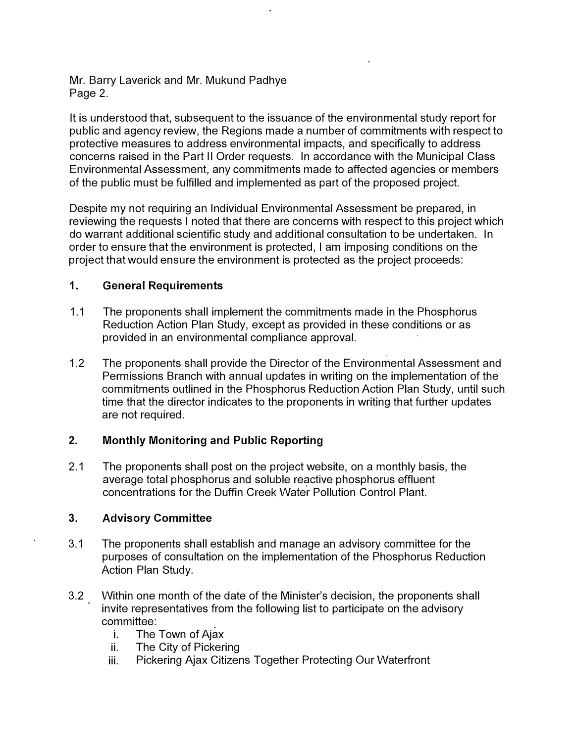Mr. Barry Laverick and Mr. Mukund Padhye Page 2.

It is understood that, subsequent to the issuance of the environmental study report for public and agency review, the Regions made a number of commitments with respect to protective measures to address environmental impacts, and specifically to address concerns raised in the Part II Order requests. In accordance with the Municipal Class Environmental Assessment, any commitments made to affected agencies or members of the public must be fulfilled and implemented as part of the proposed project.

Despite my not requiring an Individual Environmental Assessment be prepared, in reviewing the requests I noted that there are concerns with respect to this project which do warrant additional scientific study and additional consultation to be undertaken. In order to ensure that the environment is protected, I am imposing conditions on the project that would ensure the environment is protected as the project proceeds:

### **1. General Requirements**

- 1.1 The proponents shall implement the commitments made in the Phosphorus Reduction Action Plan Study, except as provided in these conditions or as provided in an environmental compliance approval.
- 1.2 The proponents shall provide the Director of the Environmental Assessment and Permissions Branch with annual updates in writing on the implementation of the commitments outlined in the Phosphorus Reduction Action Plan Study, until such time that the director indicates to the proponents in writing that further updates are not required.

# **2. Monthly Monitoring and Public Reporting**

2.1 The proponents shall post on the project website, on a monthly basis, the average total phosphorus and soluble reactive phosphorus effluent concentrations for the Duffin Creek Water Pollution Control Plant.

# **3. Advisory Committee**

- 3.1 The proponents shall establish and manage an advisory committee for the purposes of consultation on the implementation of the Phosphorus Reduction Action Plan Study.
- 3.2 Within one month of the date of the Minister's decision, the proponents shall invite representatives from the following list to participate on the advisory committee:
	- i. The Town of Ajax
	- ii. The City of Pickering
	- iii. Pickering Ajax Citizens Together Protecting Our Waterfront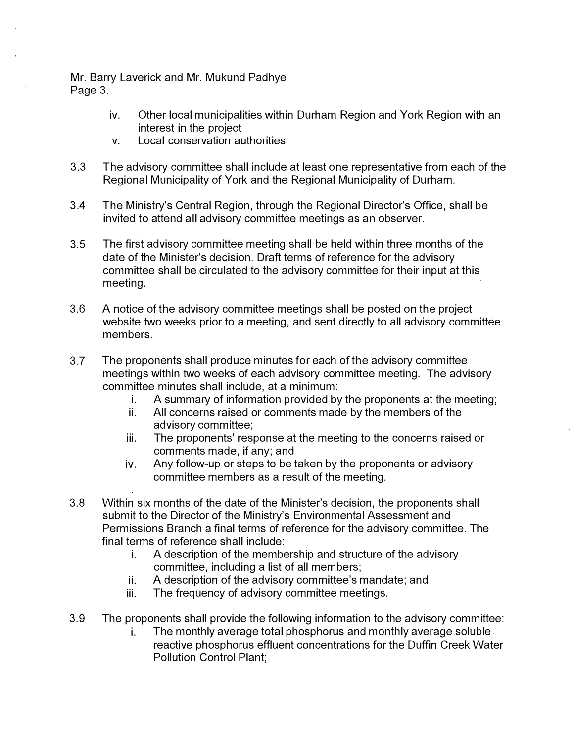Mr. Barry Laverick and Mr. Mukund Padhye Page 3.

- iv. Other local municipalities within Durham Region and York Region with an interest in the project
- v. Local conservation authorities
- 3.3 The advisory committee shall include at least one representative from each of the Regional Municipality of York and the Regional Municipality of Durham.
- 3.4 The Ministry's Central Region, through the Regional Director's Office, shall be invited to attend all advisory committee meetings as an observer.
- 3.5 The first advisory committee meeting shall be held within three months of the date of the Minister's decision. Draft terms of reference for the advisory committee shall be circulated to the advisory committee for their input at this meeting.
- 3.6 A notice of the advisory committee meetings shall be posted on the project website two weeks prior to a meeting, and sent directly to all advisory committee members.
- 3.7 The proponents shall produce minutes for each of the advisory committee meetings within two weeks of each advisory committee meeting. The advisory committee minutes shall include, at a minimum:
	- i. A summary of information provided by the proponents at the meeting;
	- ii. All concerns raised or comments made by the members of the advisory committee;
	- iii. The proponents' response at the meeting to the concerns raised or comments made, if any; and
	- iv. Any follow-up or steps to be taken by the proponents or advisory committee members as a result of the meeting.
- 3.8 Within six months of the date of the Minister's decision, the proponents shall submit to the Director of the Ministry's Environmental Assessment and Permissions Branch a final terms of reference for the advisory committee. The final terms of reference shall include:
	- i. A description of the membership and structure of the advisory committee, including a list of all members;
	- ii. A description of the advisory committee's mandate; and
	- iii. The frequency of advisory committee meetings.
- 3.9 The proponents shall provide the following information to the advisory committee:
	- i. The monthly average total phosphorus and monthly average soluble. reactive phosphorus effluent concentrations for the Duffin Creek Water Pollution Control Plant;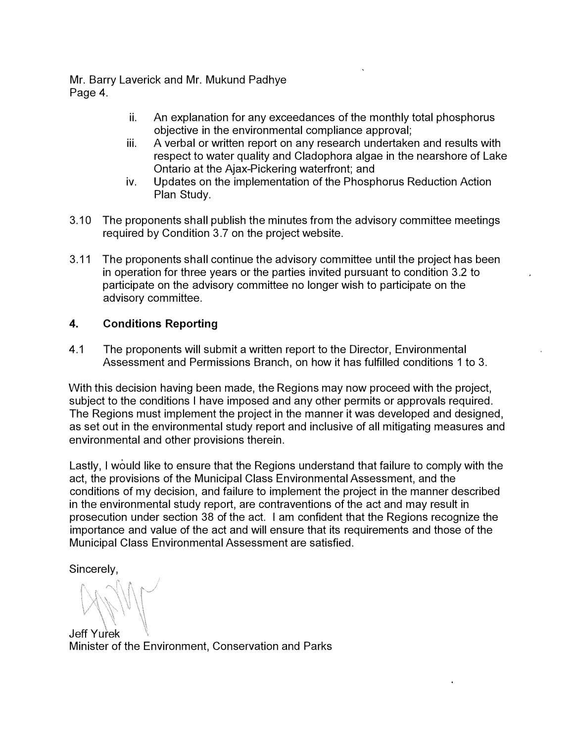Mr. Barry Laverick and Mr. Mukund Padhye Page 4.

- ii. An explanation for any exceedances of the monthly total phosphorus objective in the environmental compliance approval;
- iii. A verbal or written report on any research undertaken and results with respect to water quality and Cladophora algae in the nearshore of Lake Ontario at the Ajax-Pickering waterfront; and
- iv. Updates on the implementation of the Phosphorus Reduction Action Plan Study.
- 3.10 The proponents shall publish the minutes from the advisory committee meetings required by Condition 3.7 on the project website.
- 3.11 The proponents shall continue the advisory committee until the project has been in operation for three years or the parties invited pursuant to condition 3.2 to participate on the advisory committee no longer wish to participate on the advisory committee.

# **4. Conditions Reporting**

4.1 The proponents will submit a written report to the Director, Environmental Assessment and Permissions Branch, on how it has fulfilled conditions 1 to 3.

With this decision having been made, the Regions may now proceed with the project, subject to the conditions I have imposed and any other permits or approvals required. The Regions must implement the project in the manner it was developed and designed, as set out in the environmental study report and inclusive of all mitigating measures and environmental and other provisions therein.

Lastly, I would like to ensure that the Regions understand that failure to comply with the act, the provisions of the Municipal Class Environmental Assessment, and the conditions of my decision, and failure to implement the project in the manner described in the environmental study report, are contraventions of the act and may result in prosecution under section 38 of the act. I am confident that the Regions recognize the importance and value of the act and will ensure that its requirements and those of the Municipal Class Environmental Assessment are satisfied.

Sincerely,

Jeff Yurek Minister of the Environment, Conservation and Parks